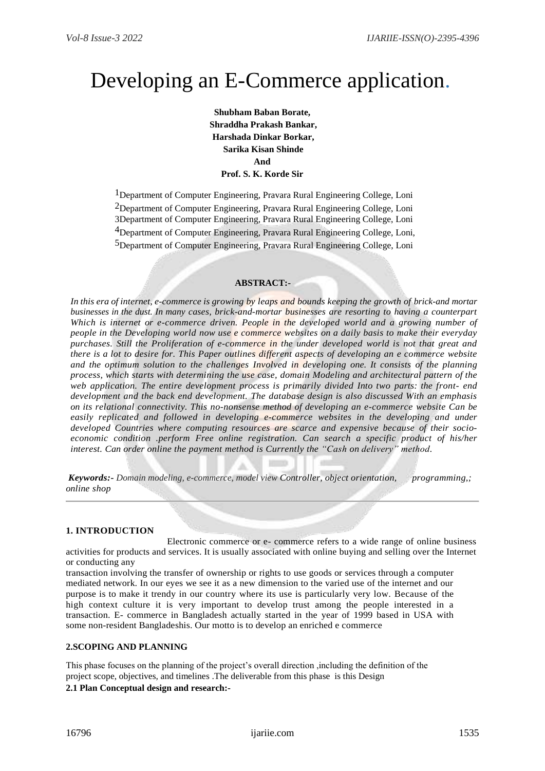# Developing an E-Commerce application.

**Shubham Baban Borate, Shraddha Prakash Bankar, Harshada Dinkar Borkar, Sarika Kisan Shinde And Prof. S. K. Korde Sir**

<sup>1</sup>Department of Computer Engineering, Pravara Rural Engineering College, Loni <sup>2</sup>Department of Computer Engineering, Pravara Rural Engineering College, Loni 3Department of Computer Engineering, Pravara Rural Engineering College, Loni 4Department of Computer Engineering, Pravara Rural Engineering College, Loni, 5Department of Computer Engineering, Pravara Rural Engineering College, Loni

## **ABSTRACT:-**

*In this era of internet, e-commerce is growing by leaps and bounds keeping the growth of brick-and mortar businesses in the dust. In many cases, brick-and-mortar businesses are resorting to having a counterpart Which is internet or e-commerce driven. People in the developed world and a growing number of people in the Developing world now use e commerce websites on a daily basis to make their everyday purchases. Still the Proliferation of e-commerce in the under developed world is not that great and there is a lot to desire for. This Paper outlines different aspects of developing an e commerce website and the optimum solution to the challenges Involved in developing one. It consists of the planning process, which starts with determining the use case, domain Modeling and architectural pattern of the web application. The entire development process is primarily divided Into two parts: the front- end development and the back end development. The database design is also discussed With an emphasis on its relational connectivity. This no-nonsense method of developing an e-commerce website Can be*  easily replicated and followed in developing e-commerce websites in the developing and under *developed Countries where computing resources are scarce and expensive because of their socioeconomic condition .perform Free online registration. Can search a specific product of his/her interest. Can order online the payment method is Currently the "Cash on delivery" method.*

*Keywords:- Domain modeling, e-commerce, model view Controller, object orientation, programming,; online shop*

## **1. INTRODUCTION**

 Electronic commerce or e- commerce refers to a wide range of online business activities for products and services. It is usually associated with online buying and selling over the Internet or conducting any

transaction involving the transfer of ownership or rights to use goods or services through a computer mediated network. In our eyes we see it as a new dimension to the varied use of the internet and our purpose is to make it trendy in our country where its use is particularly very low. Because of the high context culture it is very important to develop trust among the people interested in a transaction. E- commerce in Bangladesh actually started in the year of 1999 based in USA with some non-resident Bangladeshis. Our motto is to develop an enriched e commerce

# **2.SCOPING AND PLANNING**

This phase focuses on the planning of the project's overall direction ,including the definition of the project scope, objectives, and timelines .The deliverable from this phase is this Design

## **2.1 Plan Conceptual design and research:-**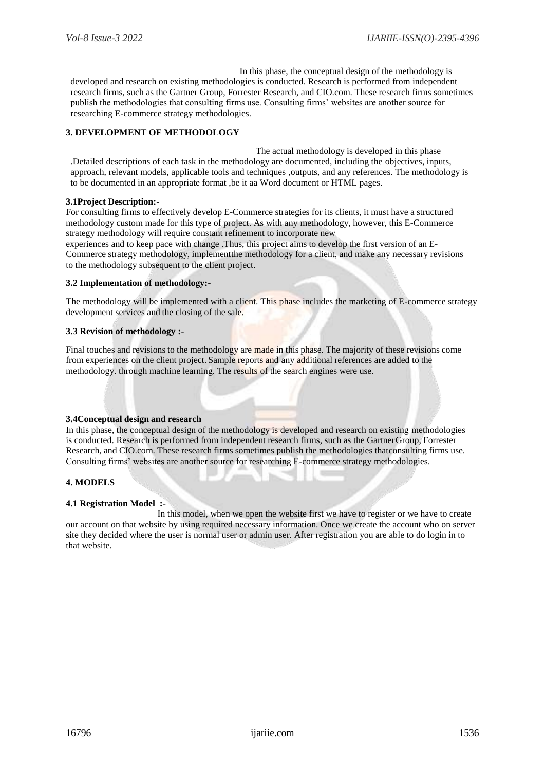In this phase, the conceptual design of the methodology is developed and research on existing methodologies is conducted. Research is performed from independent research firms, such as the Gartner Group, Forrester Research, and CIO.com. These research firms sometimes publish the methodologies that consulting firms use. Consulting firms' websites are another source for researching E-commerce strategy methodologies.

# **3. DEVELOPMENT OF METHODOLOGY**

 The actual methodology is developed in this phase .Detailed descriptions of each task in the methodology are documented, including the objectives, inputs, approach, relevant models, applicable tools and techniques ,outputs, and any references. The methodology is to be documented in an appropriate format ,be it aa Word document or HTML pages.

## **3.1Project Description:-**

For consulting firms to effectively develop E-Commerce strategies for its clients, it must have a structured methodology custom made for this type of project. As with any methodology, however, this E-Commerce strategy methodology will require constant refinement to incorporate new

experiences and to keep pace with change .Thus, this project aims to develop the first version of an E-Commerce strategy methodology, implementthe methodology for a client, and make any necessary revisions to the methodology subsequent to the client project.

## **3.2 Implementation of methodology:-**

The methodology will be implemented with a client. This phase includes the marketing of E-commerce strategy development services and the closing of the sale.

## **3.3 Revision of methodology :-**

Final touches and revisions to the methodology are made in this phase. The majority of these revisions come from experiences on the client project. Sample reports and any additional references are added to the methodology. through machine learning. The results of the search engines were use.

## **3.4Conceptual design and research**

In this phase, the conceptual design of the methodology is developed and research on existing methodologies is conducted. Research is performed from independent research firms, such as the GartnerGroup, Forrester Research, and CIO.com. These research firms sometimes publish the methodologies thatconsulting firms use. Consulting firms' websites are another source for researching E-commerce strategy methodologies.

## **4. MODELS**

## **4.1 Registration Model :-**

 In this model, when we open the website first we have to register or we have to create our account on that website by using required necessary information. Once we create the account who on server site they decided where the user is normal user or admin user. After registration you are able to do login in to that website.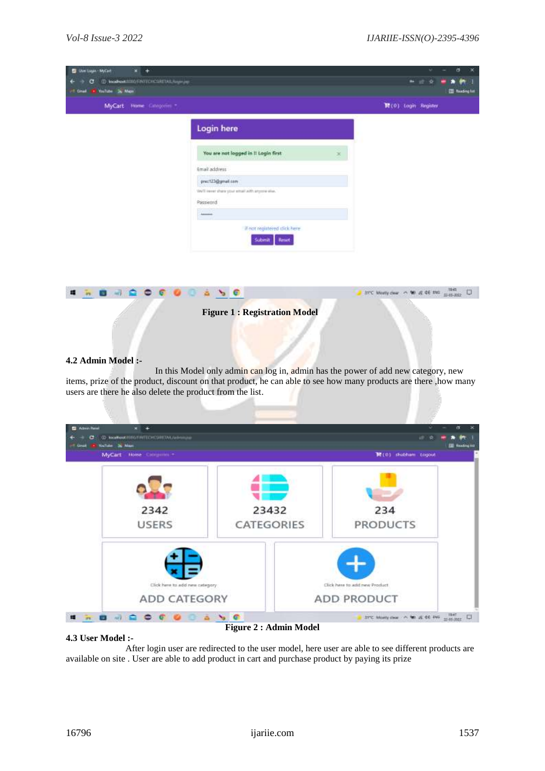31°C Musty dear ~ No at 46 this most and Disk

| <b>B</b> Unitage-McCatt<br>$x +$<br>@ bodhastmarkerporculationally<br>c<br>Visitor 24 May<br>of that<br>MyCart Home Categories - |                                                            | σ<br>28<br>■ 田 奇<br><b>TI fasting lot</b><br>胃(0) Login Register |
|----------------------------------------------------------------------------------------------------------------------------------|------------------------------------------------------------|------------------------------------------------------------------|
|                                                                                                                                  | Login here                                                 |                                                                  |
|                                                                                                                                  | You are not logged in It Login first<br>×                  |                                                                  |
|                                                                                                                                  | Email address<br>prec123@gmail.com                         |                                                                  |
|                                                                                                                                  | We'll invertiben your entail with anywin also.<br>Password |                                                                  |
|                                                                                                                                  | $\sim$ $\sim$<br>If not registered dick here               |                                                                  |
|                                                                                                                                  | <b>Reset</b><br>Submit                                     |                                                                  |
|                                                                                                                                  |                                                            |                                                                  |



 $a \rightarrow 0$ 

## **4.2 Admin Model :-**

**........** 

In this Model only admin can log in, admin has the power of add new category, new items, prize of the product, discount on that product, he can able to see how many products are there ,how many users are there he also delete the product from the list.



#### **4.3 User Model :-**

**Figure 2 : Admin Model**

 After login user are redirected to the user model, here user are able to see different products are available on site . User are able to add product in cart and purchase product by paying its prize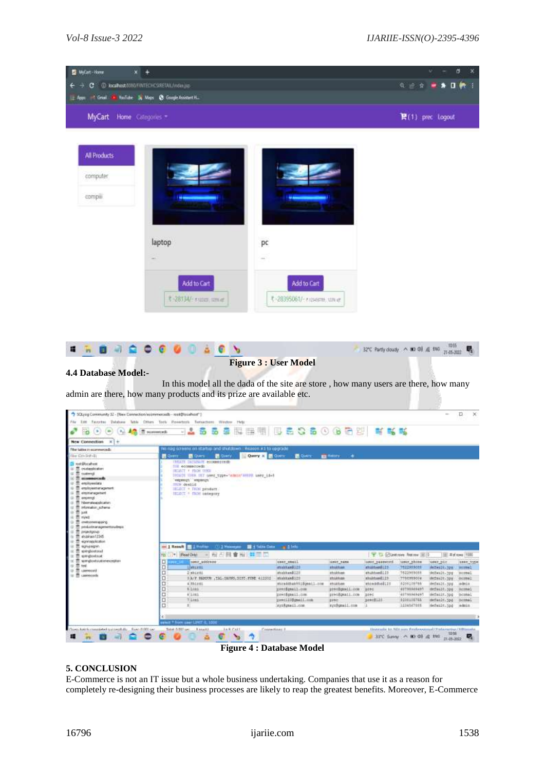

#### **Figure 4 : Database Model**

## **5. CONCLUSION**

E-Commerce is not an IT issue but a whole business undertaking. Companies that use it as a reason for completely re-designing their business processes are likely to reap the greatest benefits. Moreover, E-Commerce